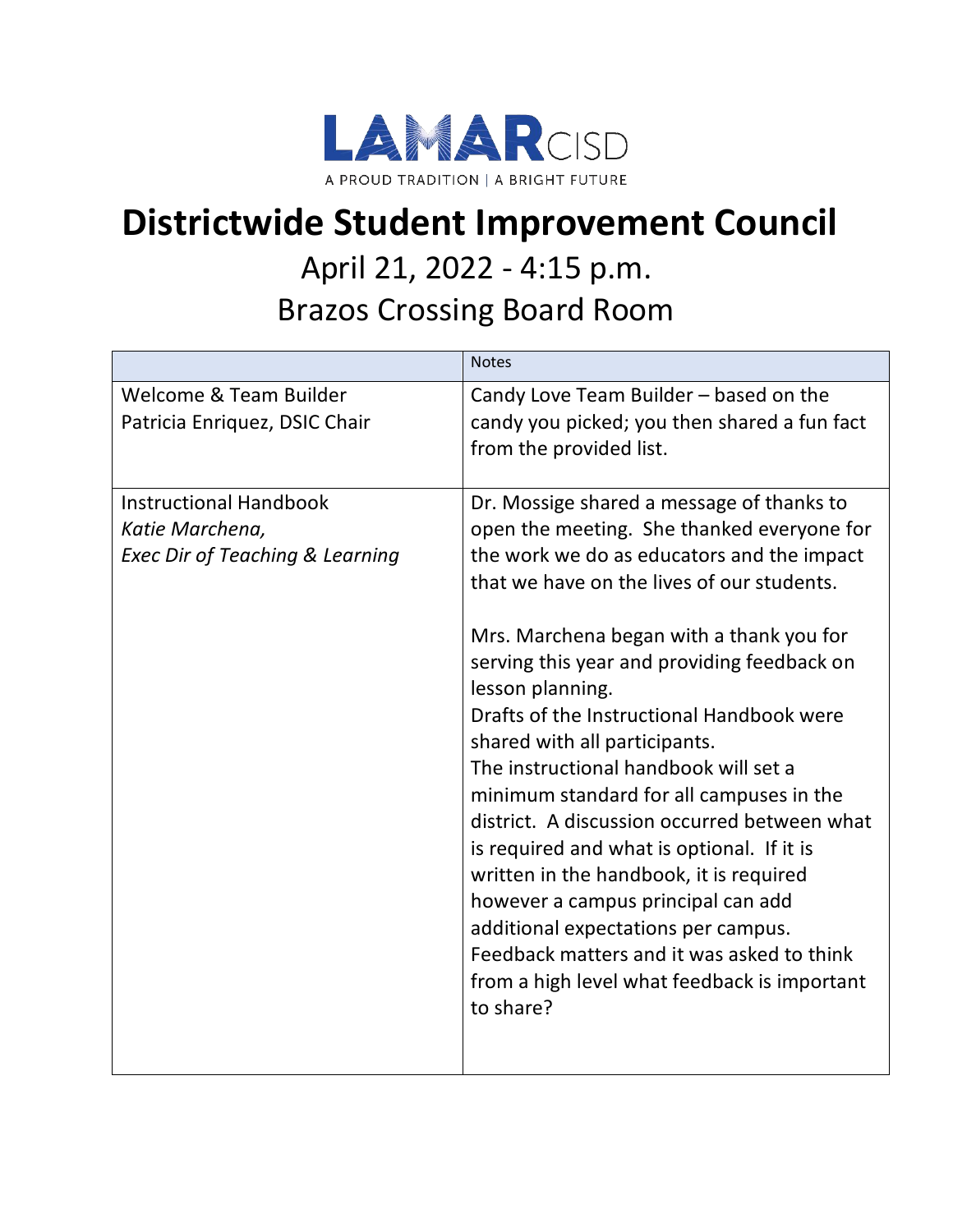

## **Districtwide Student Improvement Council**

## April 21, 2022 - 4:15 p.m. Brazos Crossing Board Room

|                                                                                                | <b>Notes</b>                                                                                                                                                                                                                                                                                                                                                                                                                                                                                                                                                                                                                                                                                                                                                                                           |
|------------------------------------------------------------------------------------------------|--------------------------------------------------------------------------------------------------------------------------------------------------------------------------------------------------------------------------------------------------------------------------------------------------------------------------------------------------------------------------------------------------------------------------------------------------------------------------------------------------------------------------------------------------------------------------------------------------------------------------------------------------------------------------------------------------------------------------------------------------------------------------------------------------------|
| Welcome & Team Builder<br>Patricia Enriquez, DSIC Chair                                        | Candy Love Team Builder - based on the<br>candy you picked; you then shared a fun fact<br>from the provided list.                                                                                                                                                                                                                                                                                                                                                                                                                                                                                                                                                                                                                                                                                      |
| <b>Instructional Handbook</b><br>Katie Marchena,<br><b>Exec Dir of Teaching &amp; Learning</b> | Dr. Mossige shared a message of thanks to<br>open the meeting. She thanked everyone for<br>the work we do as educators and the impact<br>that we have on the lives of our students.<br>Mrs. Marchena began with a thank you for<br>serving this year and providing feedback on<br>lesson planning.<br>Drafts of the Instructional Handbook were<br>shared with all participants.<br>The instructional handbook will set a<br>minimum standard for all campuses in the<br>district. A discussion occurred between what<br>is required and what is optional. If it is<br>written in the handbook, it is required<br>however a campus principal can add<br>additional expectations per campus.<br>Feedback matters and it was asked to think<br>from a high level what feedback is important<br>to share? |